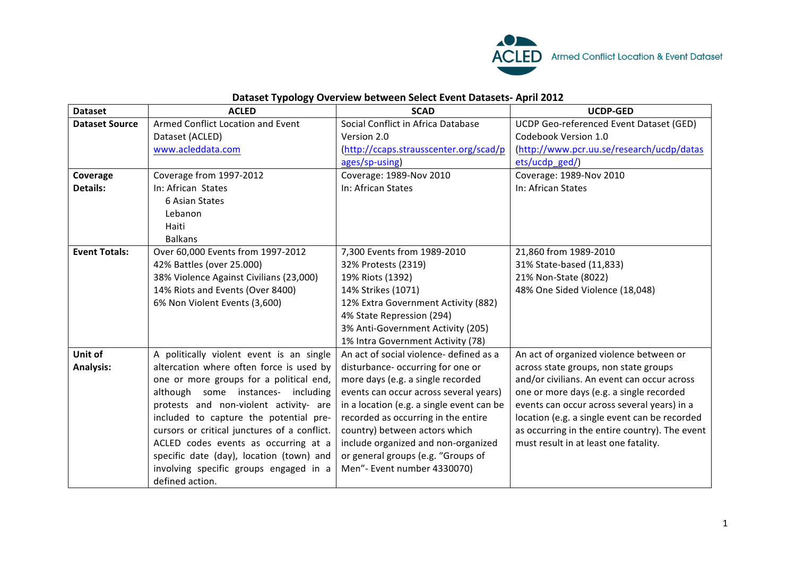

## **Dataset Typology Overview between Select Event Datasets- April 2012**

| <b>Dataset</b>        | <b>ACLED</b>                                 | <b>SCAD</b>                               | <b>UCDP-GED</b>                                |
|-----------------------|----------------------------------------------|-------------------------------------------|------------------------------------------------|
| <b>Dataset Source</b> | Armed Conflict Location and Event            | Social Conflict in Africa Database        | UCDP Geo-referenced Event Dataset (GED)        |
|                       | Dataset (ACLED)                              | Version 2.0                               | Codebook Version 1.0                           |
|                       | www.acleddata.com                            | (http://ccaps.strausscenter.org/scad/p    | (http://www.pcr.uu.se/research/ucdp/datas      |
|                       |                                              | ages/sp-using)                            | ets/ucdp_ged/)                                 |
| Coverage              | Coverage from 1997-2012                      | Coverage: 1989-Nov 2010                   | Coverage: 1989-Nov 2010                        |
| <b>Details:</b>       | In: African States                           | In: African States                        | In: African States                             |
|                       | 6 Asian States                               |                                           |                                                |
|                       | Lebanon                                      |                                           |                                                |
|                       | Haiti                                        |                                           |                                                |
|                       | <b>Balkans</b>                               |                                           |                                                |
| <b>Event Totals:</b>  | Over 60,000 Events from 1997-2012            | 7,300 Events from 1989-2010               | 21,860 from 1989-2010                          |
|                       | 42% Battles (over 25.000)                    | 32% Protests (2319)                       | 31% State-based (11,833)                       |
|                       | 38% Violence Against Civilians (23,000)      | 19% Riots (1392)                          | 21% Non-State (8022)                           |
|                       | 14% Riots and Events (Over 8400)             | 14% Strikes (1071)                        | 48% One Sided Violence (18,048)                |
|                       | 6% Non Violent Events (3,600)                | 12% Extra Government Activity (882)       |                                                |
|                       |                                              | 4% State Repression (294)                 |                                                |
|                       |                                              | 3% Anti-Government Activity (205)         |                                                |
|                       |                                              | 1% Intra Government Activity (78)         |                                                |
| Unit of               | A politically violent event is an single     | An act of social violence- defined as a   | An act of organized violence between or        |
| <b>Analysis:</b>      | altercation where often force is used by     | disturbance- occurring for one or         | across state groups, non state groups          |
|                       | one or more groups for a political end,      | more days (e.g. a single recorded         | and/or civilians. An event can occur across    |
|                       | although some instances- including           | events can occur across several years)    | one or more days (e.g. a single recorded       |
|                       | protests and non-violent activity- are       | in a location (e.g. a single event can be | events can occur across several years) in a    |
|                       | included to capture the potential pre-       | recorded as occurring in the entire       | location (e.g. a single event can be recorded  |
|                       | cursors or critical junctures of a conflict. | country) between actors which             | as occurring in the entire country). The event |
|                       | ACLED codes events as occurring at a         | include organized and non-organized       | must result in at least one fatality.          |
|                       | specific date (day), location (town) and     | or general groups (e.g. "Groups of        |                                                |
|                       | involving specific groups engaged in a       | Men"- Event number 4330070)               |                                                |
|                       | defined action.                              |                                           |                                                |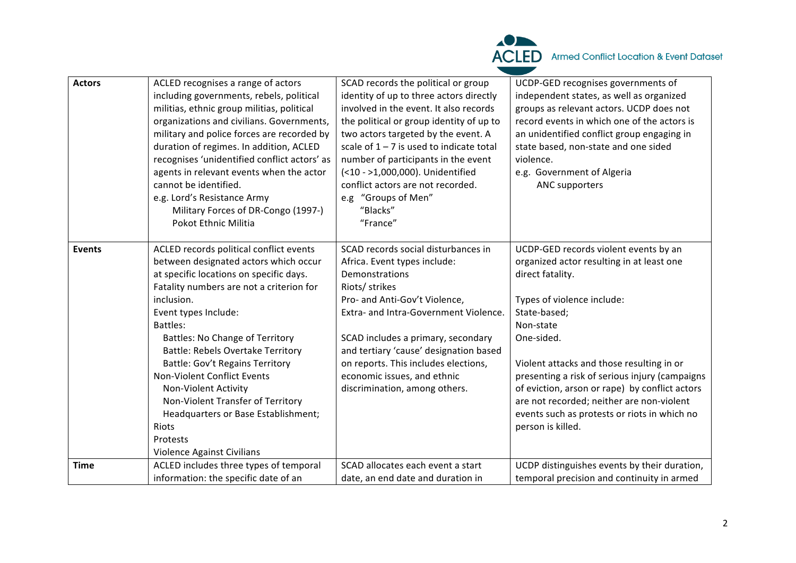

| agents in relevant events when the actor<br>(<10 - >1,000,000). Unidentified<br>e.g. Government of Algeria<br>cannot be identified.<br>conflict actors are not recorded.<br>ANC supporters<br>e.g. Lord's Resistance Army<br>e.g "Groups of Men"                                                                                                                                                                                                                                                                                                                                                                                                                                                                                                                                                                                                                                                                                                                                                                                                                                                                                                                                                                                                                                                                                                                                                           |  |
|------------------------------------------------------------------------------------------------------------------------------------------------------------------------------------------------------------------------------------------------------------------------------------------------------------------------------------------------------------------------------------------------------------------------------------------------------------------------------------------------------------------------------------------------------------------------------------------------------------------------------------------------------------------------------------------------------------------------------------------------------------------------------------------------------------------------------------------------------------------------------------------------------------------------------------------------------------------------------------------------------------------------------------------------------------------------------------------------------------------------------------------------------------------------------------------------------------------------------------------------------------------------------------------------------------------------------------------------------------------------------------------------------------|--|
| "Blacks"<br>Military Forces of DR-Congo (1997-)<br>"France"<br>Pokot Ethnic Militia                                                                                                                                                                                                                                                                                                                                                                                                                                                                                                                                                                                                                                                                                                                                                                                                                                                                                                                                                                                                                                                                                                                                                                                                                                                                                                                        |  |
| SCAD records social disturbances in<br>UCDP-GED records violent events by an<br>ACLED records political conflict events<br><b>Events</b><br>between designated actors which occur<br>organized actor resulting in at least one<br>Africa. Event types include:<br>at specific locations on specific days.<br>direct fatality.<br>Demonstrations<br>Fatality numbers are not a criterion for<br>Riots/ strikes<br>inclusion.<br>Pro- and Anti-Gov't Violence,<br>Types of violence include:<br>State-based;<br>Extra- and Intra-Government Violence.<br>Event types Include:<br>Non-state<br>Battles:<br><b>Battles: No Change of Territory</b><br>SCAD includes a primary, secondary<br>One-sided.<br>and tertiary 'cause' designation based<br><b>Battle: Rebels Overtake Territory</b><br><b>Battle: Gov't Regains Territory</b><br>on reports. This includes elections,<br>Violent attacks and those resulting in or<br>Non-Violent Conflict Events<br>economic issues, and ethnic<br>presenting a risk of serious injury (campaigns<br>of eviction, arson or rape) by conflict actors<br>Non-Violent Activity<br>discrimination, among others.<br>Non-Violent Transfer of Territory<br>are not recorded; neither are non-violent<br>Headquarters or Base Establishment;<br>events such as protests or riots in which no<br>person is killed.<br>Riots<br>Protests<br><b>Violence Against Civilians</b> |  |
| ACLED includes three types of temporal<br>SCAD allocates each event a start<br>UCDP distinguishes events by their duration,<br><b>Time</b><br>information: the specific date of an<br>date, an end date and duration in<br>temporal precision and continuity in armed                                                                                                                                                                                                                                                                                                                                                                                                                                                                                                                                                                                                                                                                                                                                                                                                                                                                                                                                                                                                                                                                                                                                      |  |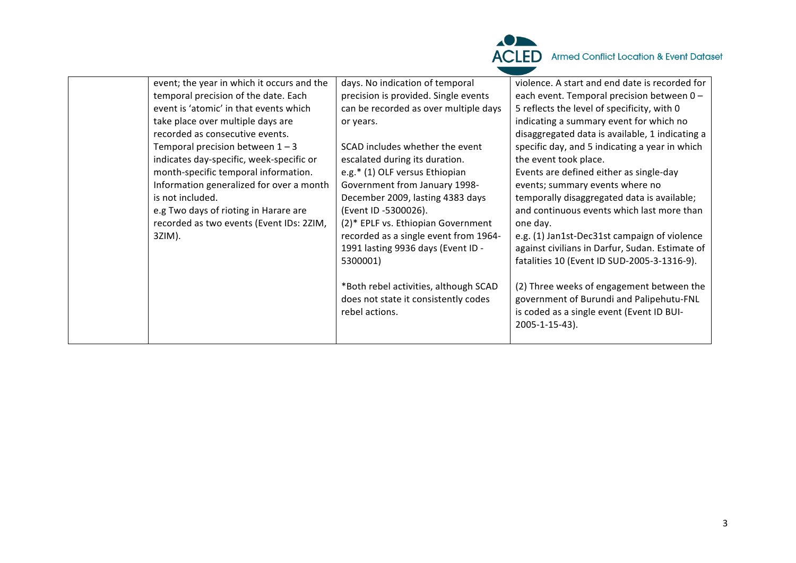

| event; the year in which it occurs and the<br>temporal precision of the date. Each<br>event is 'atomic' in that events which<br>take place over multiple days are<br>recorded as consecutive events.<br>Temporal precision between $1 - 3$<br>indicates day-specific, week-specific or<br>month-specific temporal information.<br>Information generalized for over a month<br>is not included.<br>e.g Two days of rioting in Harare are<br>recorded as two events (Event IDs: 2ZIM,<br>3ZIM). | days. No indication of temporal<br>precision is provided. Single events<br>can be recorded as over multiple days<br>or years.<br>SCAD includes whether the event<br>escalated during its duration.<br>e.g.* (1) OLF versus Ethiopian<br>Government from January 1998-<br>December 2009, lasting 4383 days<br>(Event ID -5300026).<br>(2)* EPLF vs. Ethiopian Government<br>recorded as a single event from 1964-<br>1991 lasting 9936 days (Event ID -<br>5300001)<br>*Both rebel activities, although SCAD<br>does not state it consistently codes<br>rebel actions. | violence. A start and end date is recorded for<br>each event. Temporal precision between 0 -<br>5 reflects the level of specificity, with 0<br>indicating a summary event for which no<br>disaggregated data is available, 1 indicating a<br>specific day, and 5 indicating a year in which<br>the event took place.<br>Events are defined either as single-day<br>events; summary events where no<br>temporally disaggregated data is available;<br>and continuous events which last more than<br>one day.<br>e.g. (1) Jan1st-Dec31st campaign of violence<br>against civilians in Darfur, Sudan. Estimate of<br>fatalities 10 (Event ID SUD-2005-3-1316-9).<br>(2) Three weeks of engagement between the<br>government of Burundi and Palipehutu-FNL<br>is coded as a single event (Event ID BUI- |
|-----------------------------------------------------------------------------------------------------------------------------------------------------------------------------------------------------------------------------------------------------------------------------------------------------------------------------------------------------------------------------------------------------------------------------------------------------------------------------------------------|-----------------------------------------------------------------------------------------------------------------------------------------------------------------------------------------------------------------------------------------------------------------------------------------------------------------------------------------------------------------------------------------------------------------------------------------------------------------------------------------------------------------------------------------------------------------------|-----------------------------------------------------------------------------------------------------------------------------------------------------------------------------------------------------------------------------------------------------------------------------------------------------------------------------------------------------------------------------------------------------------------------------------------------------------------------------------------------------------------------------------------------------------------------------------------------------------------------------------------------------------------------------------------------------------------------------------------------------------------------------------------------------|
|                                                                                                                                                                                                                                                                                                                                                                                                                                                                                               |                                                                                                                                                                                                                                                                                                                                                                                                                                                                                                                                                                       | 2005-1-15-43).                                                                                                                                                                                                                                                                                                                                                                                                                                                                                                                                                                                                                                                                                                                                                                                      |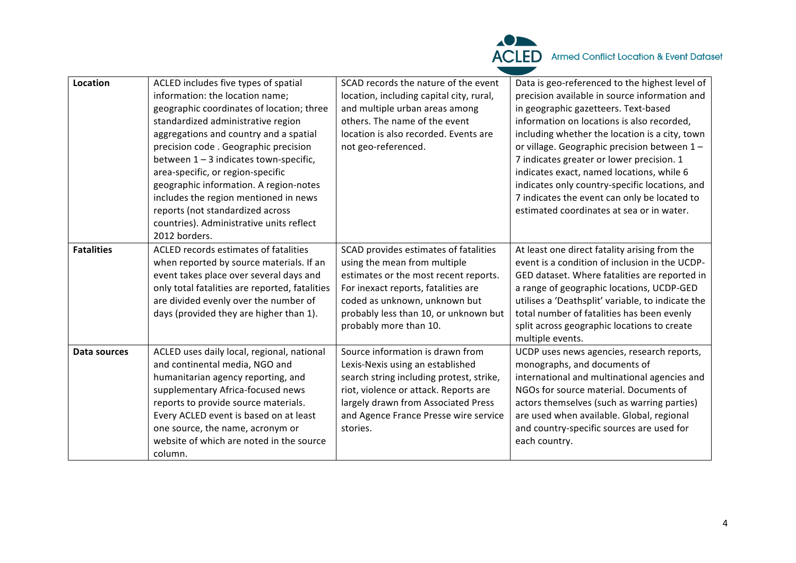

| Location          | ACLED includes five types of spatial           | SCAD records the nature of the event     | Data is geo-referenced to the highest level of    |
|-------------------|------------------------------------------------|------------------------------------------|---------------------------------------------------|
|                   | information: the location name;                | location, including capital city, rural, | precision available in source information and     |
|                   | geographic coordinates of location; three      | and multiple urban areas among           | in geographic gazetteers. Text-based              |
|                   | standardized administrative region             | others. The name of the event            | information on locations is also recorded,        |
|                   | aggregations and country and a spatial         | location is also recorded. Events are    | including whether the location is a city, town    |
|                   | precision code. Geographic precision           | not geo-referenced.                      | or village. Geographic precision between 1-       |
|                   | between $1 - 3$ indicates town-specific,       |                                          | 7 indicates greater or lower precision. 1         |
|                   | area-specific, or region-specific              |                                          | indicates exact, named locations, while 6         |
|                   | geographic information. A region-notes         |                                          | indicates only country-specific locations, and    |
|                   | includes the region mentioned in news          |                                          | 7 indicates the event can only be located to      |
|                   | reports (not standardized across               |                                          | estimated coordinates at sea or in water.         |
|                   | countries). Administrative units reflect       |                                          |                                                   |
|                   | 2012 borders.                                  |                                          |                                                   |
| <b>Fatalities</b> | ACLED records estimates of fatalities          | SCAD provides estimates of fatalities    | At least one direct fatality arising from the     |
|                   | when reported by source materials. If an       | using the mean from multiple             | event is a condition of inclusion in the UCDP-    |
|                   | event takes place over several days and        | estimates or the most recent reports.    | GED dataset. Where fatalities are reported in     |
|                   | only total fatalities are reported, fatalities | For inexact reports, fatalities are      | a range of geographic locations, UCDP-GED         |
|                   | are divided evenly over the number of          | coded as unknown, unknown but            | utilises a 'Deathsplit' variable, to indicate the |
|                   | days (provided they are higher than 1).        | probably less than 10, or unknown but    | total number of fatalities has been evenly        |
|                   |                                                | probably more than 10.                   | split across geographic locations to create       |
|                   |                                                |                                          | multiple events.                                  |
| Data sources      | ACLED uses daily local, regional, national     | Source information is drawn from         | UCDP uses news agencies, research reports,        |
|                   | and continental media, NGO and                 | Lexis-Nexis using an established         | monographs, and documents of                      |
|                   | humanitarian agency reporting, and             | search string including protest, strike, | international and multinational agencies and      |
|                   | supplementary Africa-focused news              | riot, violence or attack. Reports are    | NGOs for source material. Documents of            |
|                   | reports to provide source materials.           | largely drawn from Associated Press      | actors themselves (such as warring parties)       |
|                   | Every ACLED event is based on at least         | and Agence France Presse wire service    | are used when available. Global, regional         |
|                   | one source, the name, acronym or               | stories.                                 | and country-specific sources are used for         |
|                   | website of which are noted in the source       |                                          | each country.                                     |
|                   | column.                                        |                                          |                                                   |